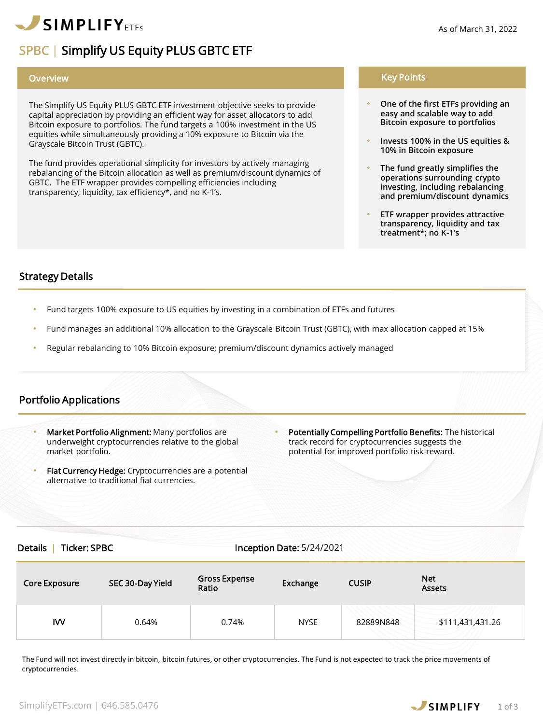

# SPBC | Simplify US Equity PLUS GBTC ETF

The Simplify US Equity PLUS GBTC ETF investment objective seeks to provide capital appreciation by providing an efficient way for asset allocators to add Bitcoin exposure to portfolios. The fund targets a 100% investment in the US equities while simultaneously providing a 10% exposure to Bitcoin via the Grayscale Bitcoin Trust (GBTC).

The fund provides operational simplicity for investors by actively managing rebalancing of the Bitcoin allocation as well as premium/discount dynamics of GBTC. The ETF wrapper provides compelling efficiencies including transparency, liquidity, tax efficiency\*, and no K-1's.

## Overview Key Points

- **One of the first ETFs providing an easy and scalable way to add Bitcoin exposure to portfolios**
- **Invests 100% in the US equities & 10% in Bitcoin exposure**
- **The fund greatly simplifies the operations surrounding crypto investing, including rebalancing and premium/discount dynamics**
- **ETF wrapper provides attractive transparency, liquidity and tax treatment\*; no K-1's**

## Strategy Details

- Fund targets 100% exposure to US equities by investing in a combination of ETFs and futures
- Fund manages an additional 10% allocation to the Grayscale Bitcoin Trust (GBTC), with max allocation capped at 15%
- Regular rebalancing to 10% Bitcoin exposure; premium/discount dynamics actively managed

## Portfolio Applications

- Market Portfolio Alignment: Many portfolios are underweight cryptocurrencies relative to the global market portfolio.
- Fiat Currency Hedge: Cryptocurrencies are a potential alternative to traditional fiat currencies.
- Potentially Compelling Portfolio Benefits: The historical track record for cryptocurrencies suggests the potential for improved portfolio risk-reward.

#### Details | Ticker: SPBC Inception Date: 5/24/2021

| <b>Core Exposure</b> | SEC 30-Day Yield | <b>Gross Expense</b><br>Ratio | Exchange    | <b>CUSIP</b> | <b>Net</b><br>Assets |
|----------------------|------------------|-------------------------------|-------------|--------------|----------------------|
| IW                   | 0.64%            | 0.74%                         | <b>NYSE</b> | 82889N848    | \$111,431,431.26     |

The Fund will not invest directly in bitcoin, bitcoin futures, or other cryptocurrencies. The Fund is not expected to track the price movements of cryptocurrencies.

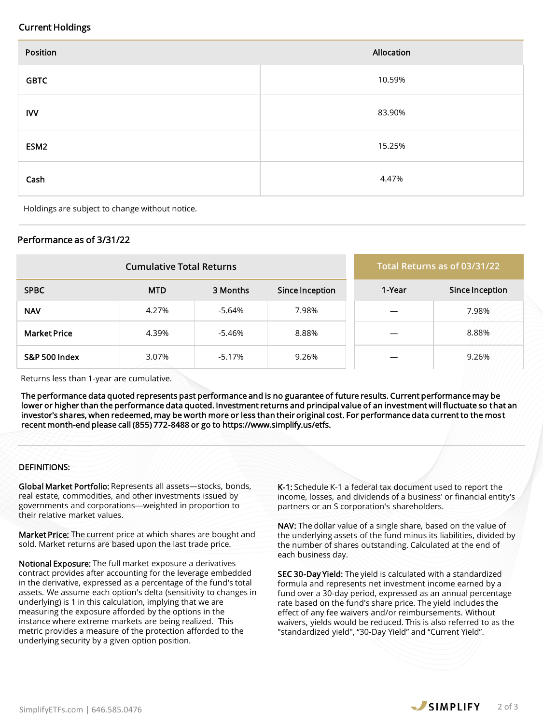## Current Holdings

| Position         | Allocation |
|------------------|------------|
| <b>GBTC</b>      | 10.59%     |
| <b>IVV</b>       | 83.90%     |
| ESM <sub>2</sub> | 15.25%     |
| Cash             | 4.47%      |

Holdings are subject to change without notice.

## Performance as of 3/31/22

|                          | <b>Cumulative Total Returns</b> | Total Returns as of 03/31/22 |                 |        |                 |
|--------------------------|---------------------------------|------------------------------|-----------------|--------|-----------------|
| <b>SPBC</b>              | <b>MTD</b>                      | 3 Months                     | Since Inception | 1-Year | Since Inception |
| <b>NAV</b>               | 4.27%                           | -5.64%                       | 7.98%           |        | 7.98%           |
| <b>Market Price</b>      | 4.39%                           | -5.46%                       | 8.88%           |        | 8.88%           |
| <b>S&amp;P 500 Index</b> | 3.07%                           | -5.17%                       | 9.26%           |        | 9.26%           |

Returns less than 1-year are cumulative.

The performance data quoted represents past performance and is no guarantee of future results. Current performance may be lower or higher than the performance data quoted. Investment returns and principal value of an investment will fluctuate so that an investor's shares, when redeemed, may be worth more or less than their original cost. For performance data current to the most recent month-end please call (855) 772-8488 or go to https://www.simplify.us/etfs.

## DEFINITIONS:

Global Market Portfolio: Represents all assets—stocks, bonds, real estate, commodities, and other investments issued by governments and corporations—weighted in proportion to their relative market values.

Market Price: The current price at which shares are bought and sold. Market returns are based upon the last trade price.

Notional Exposure: The full market exposure a derivatives contract provides after accounting for the leverage embedded in the derivative, expressed as a percentage of the fund's total assets. We assume each option's delta (sensitivity to changes in underlying) is 1 in this calculation, implying that we are measuring the exposure afforded by the options in the instance where extreme markets are being realized. This metric provides a measure of the protection afforded to the underlying security by a given option position.

K-1: Schedule K-1 a federal tax document used to report the income, losses, and dividends of a business' or financial entity's partners or an S corporation's shareholders.

NAV: The dollar value of a single share, based on the value of the underlying assets of the fund minus its liabilities, divided by the number of shares outstanding. Calculated at the end of each business day.

SEC 30-Day Yield: The yield is calculated with a standardized formula and represents net investment income earned by a fund over a 30-day period, expressed as an annual percentage rate based on the fund's share price. The yield includes the effect of any fee waivers and/or reimbursements. Without waivers, yields would be reduced. This is also referred to as the "standardized yield", "30-Day Yield" and "Current Yield".